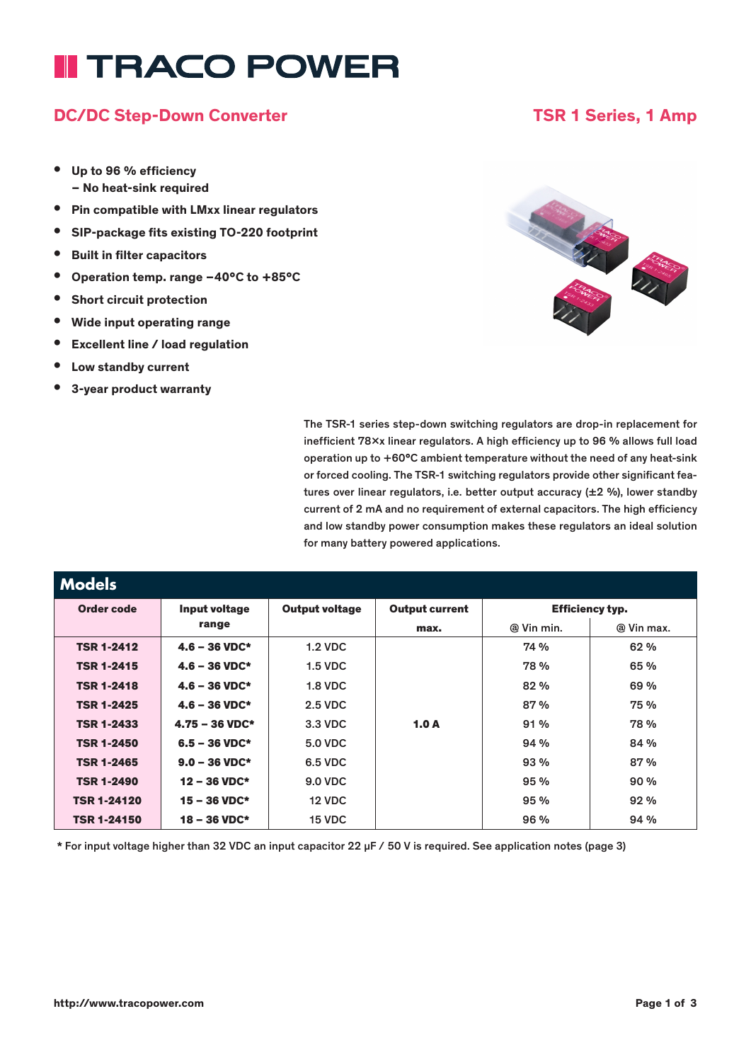# **II TRACO POWER**

### DC/DC Step-Down Converter TSR 1 Series, 1 Amp

- Up to 96 % efficiency – No heat-sink required
- Pin compatible with LMxx linear regulators
- SIP-package fits existing TO-220 footprint
- Built in filter capacitors
- Operation temp. range –40°C to +85°C
- Short circuit protection
- Wide input operating range
- Excellent line / load regulation
- Low standby current
- 3-year product warranty



The TSR-1 series step-down switching regulators are drop-in replacement for inefficient 78xx linear regulators. A high efficiency up to 96 % allows full load operation up to +60°C ambient temperature without the need of any heat-sink or forced cooling. The TSR-1 switching regulators provide other significant features over linear regulators, i.e. better output accuracy (±2 %), lower standby current of 2 mA and no requirement of external capacitors. The high efficiency and low standby power consumption makes these regulators an ideal solution for many battery powered applications.

| <b>Models</b>      |                          |                       |                       |                        |            |  |
|--------------------|--------------------------|-----------------------|-----------------------|------------------------|------------|--|
| Order code         | Input voltage            | <b>Output voltage</b> | <b>Output current</b> | <b>Efficiency typ.</b> |            |  |
|                    | range                    |                       | max.                  | @ Vin min.             | @ Vin max. |  |
| <b>TSR 1-2412</b>  | $4.6 - 36$ VDC*          | <b>1.2 VDC</b>        |                       | 74 %                   | 62 %       |  |
| <b>TSR 1-2415</b>  | $4.6 - 36$ VDC*          | $1.5$ VDC             |                       | 78 %                   | 65 %       |  |
| <b>TSR 1-2418</b>  | $4.6 - 36$ VDC*          | $1.8$ VDC             |                       | 82 %                   | 69 %       |  |
| <b>TSR 1-2425</b>  | $4.6 - 36$ VDC*          | <b>2.5 VDC</b>        |                       | 87%                    | 75 %       |  |
| <b>TSR 1-2433</b>  | $4.75 - 36 \text{ VDC*}$ | 3.3 VDC               | 1.0 $A$               | 91%                    | 78%        |  |
| <b>TSR 1-2450</b>  | $6.5 - 36$ VDC*          | <b>5.0 VDC</b>        |                       | 94%                    | 84 %       |  |
| <b>TSR 1-2465</b>  | $9.0 - 36 \text{ VDC*}$  | 6.5 VDC               |                       | 93%                    | 87%        |  |
| <b>TSR 1-2490</b>  | $12 - 36$ VDC*           | <b>9.0 VDC</b>        |                       | 95%                    | 90%        |  |
| <b>TSR 1-24120</b> | $15 - 36$ VDC*           | <b>12 VDC</b>         |                       | 95%                    | 92%        |  |
| <b>TSR 1-24150</b> | $18 - 36$ VDC*           | 15 VDC                |                       | 96 %                   | 94%        |  |

\* For input voltage higher than 32 VDC an input capacitor 22 µF / 50 V is required. See application notes (page 3)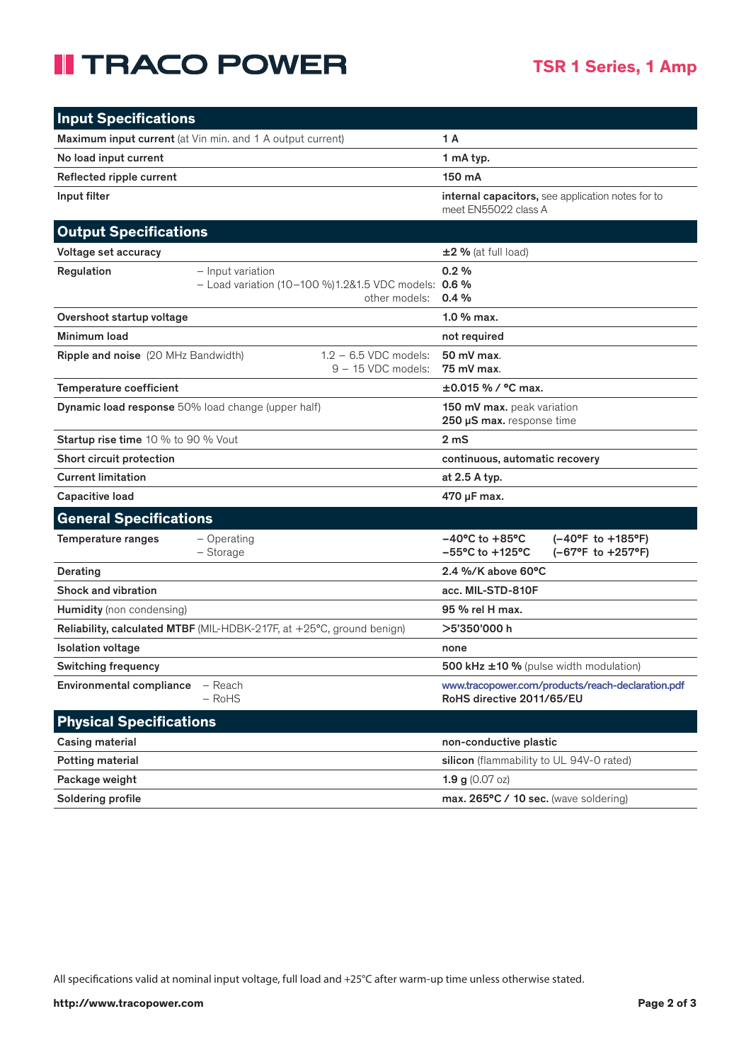## **II TRACO POWER**

| <b>Input Specifications</b>                                                                              |                                                                                                                     |  |  |
|----------------------------------------------------------------------------------------------------------|---------------------------------------------------------------------------------------------------------------------|--|--|
| Maximum input current (at Vin min. and 1 A output current)                                               | 1 A                                                                                                                 |  |  |
| No load input current                                                                                    | 1 mA typ.                                                                                                           |  |  |
| Reflected ripple current                                                                                 | 150 mA                                                                                                              |  |  |
| Input filter                                                                                             | internal capacitors, see application notes for to<br>meet EN55022 class A                                           |  |  |
| <b>Output Specifications</b>                                                                             |                                                                                                                     |  |  |
| Voltage set accuracy                                                                                     | $\pm 2$ % (at full load)                                                                                            |  |  |
| Regulation<br>- Input variation<br>- Load variation (10-100 %)1.2&1.5 VDC models: 0.6 %<br>other models: | 0.2%<br>0.4%                                                                                                        |  |  |
| Overshoot startup voltage                                                                                | $1.0%$ max.                                                                                                         |  |  |
| Minimum load                                                                                             | not required                                                                                                        |  |  |
| $1.2 - 6.5$ VDC models:<br><b>Ripple and noise</b> (20 MHz Bandwidth)<br>9 - 15 VDC models:              | 50 mV max.<br>75 mV max.                                                                                            |  |  |
| Temperature coefficient                                                                                  | $\pm 0.015$ % / °C max.                                                                                             |  |  |
| <b>Dynamic load response</b> 50% load change (upper half)                                                | 150 mV max. peak variation<br>250 µS max. response time                                                             |  |  |
| <b>Startup rise time 10 % to 90 % Vout</b>                                                               | 2 <sub>m</sub>                                                                                                      |  |  |
| Short circuit protection                                                                                 | continuous, automatic recovery                                                                                      |  |  |
| <b>Current limitation</b>                                                                                | at 2.5 A typ.                                                                                                       |  |  |
| <b>Capacitive load</b>                                                                                   | 470 µF max.                                                                                                         |  |  |
| <b>General Specifications</b>                                                                            |                                                                                                                     |  |  |
| $-$ Operating<br><b>Temperature ranges</b><br>- Storage                                                  | $-40^{\circ}$ C to $+85^{\circ}$ C<br>(-40°F to +185°F)<br>$-55^{\circ}$ C to $+125^{\circ}$ C<br>(-67°F to +257°F) |  |  |
| Derating                                                                                                 | $2.4$ %/K above 60°C                                                                                                |  |  |
| <b>Shock and vibration</b>                                                                               | acc. MIL-STD-810F                                                                                                   |  |  |
| Humidity (non condensing)                                                                                | 95 % rel H max.                                                                                                     |  |  |
| Reliability, calculated MTBF (MIL-HDBK-217F, at +25°C, ground benign)                                    | >5'350'000 h                                                                                                        |  |  |
| <b>Isolation voltage</b>                                                                                 | none                                                                                                                |  |  |
| <b>Switching frequency</b>                                                                               | 500 kHz ±10 % (pulse width modulation)                                                                              |  |  |
| <b>Environmental compliance</b><br>- Reach<br>$-$ RoHS                                                   | www.tracopower.com/products/reach-declaration.pdf<br>RoHS directive 2011/65/EU                                      |  |  |
| <b>Physical Specifications</b>                                                                           |                                                                                                                     |  |  |
| <b>Casing material</b>                                                                                   | non-conductive plastic                                                                                              |  |  |
| Potting material                                                                                         | silicon (flammability to UL 94V-0 rated)                                                                            |  |  |
| Package weight                                                                                           | <b>1.9 g</b> $(0.07 \text{ oz})$                                                                                    |  |  |
| Soldering profile                                                                                        | max. 265°C / 10 sec. (wave soldering)                                                                               |  |  |

All specifications valid at nominal input voltage, full load and +25°C after warm-up time unless otherwise stated.